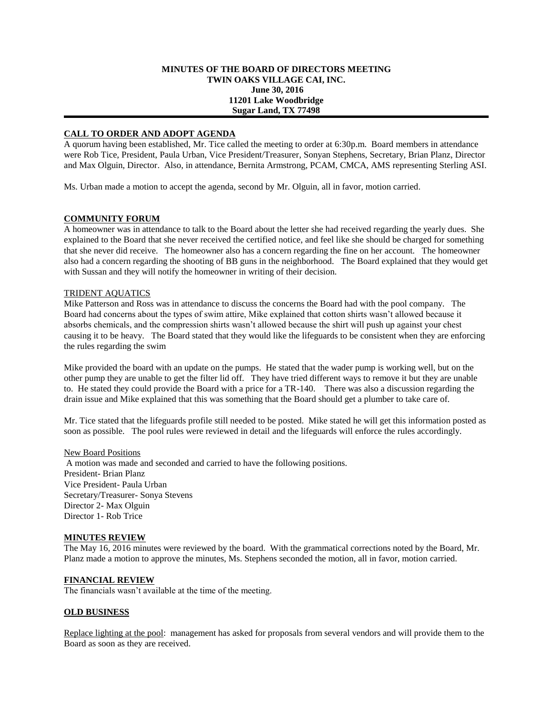### **MINUTES OF THE BOARD OF DIRECTORS MEETING TWIN OAKS VILLAGE CAI, INC. June 30, 2016 11201 Lake Woodbridge Sugar Land, TX 77498**

# **CALL TO ORDER AND ADOPT AGENDA**

A quorum having been established, Mr. Tice called the meeting to order at 6:30p.m. Board members in attendance were Rob Tice, President, Paula Urban, Vice President/Treasurer, Sonyan Stephens, Secretary, Brian Planz, Director and Max Olguin, Director. Also, in attendance, Bernita Armstrong, PCAM, CMCA, AMS representing Sterling ASI.

Ms. Urban made a motion to accept the agenda, second by Mr. Olguin, all in favor, motion carried.

# **COMMUNITY FORUM**

A homeowner was in attendance to talk to the Board about the letter she had received regarding the yearly dues. She explained to the Board that she never received the certified notice, and feel like she should be charged for something that she never did receive. The homeowner also has a concern regarding the fine on her account. The homeowner also had a concern regarding the shooting of BB guns in the neighborhood. The Board explained that they would get with Sussan and they will notify the homeowner in writing of their decision.

# TRIDENT AQUATICS

Mike Patterson and Ross was in attendance to discuss the concerns the Board had with the pool company. The Board had concerns about the types of swim attire, Mike explained that cotton shirts wasn't allowed because it absorbs chemicals, and the compression shirts wasn't allowed because the shirt will push up against your chest causing it to be heavy. The Board stated that they would like the lifeguards to be consistent when they are enforcing the rules regarding the swim

Mike provided the board with an update on the pumps. He stated that the wader pump is working well, but on the other pump they are unable to get the filter lid off. They have tried different ways to remove it but they are unable to. He stated they could provide the Board with a price for a TR-140. There was also a discussion regarding the drain issue and Mike explained that this was something that the Board should get a plumber to take care of.

Mr. Tice stated that the lifeguards profile still needed to be posted. Mike stated he will get this information posted as soon as possible. The pool rules were reviewed in detail and the lifeguards will enforce the rules accordingly.

#### New Board Positions

A motion was made and seconded and carried to have the following positions. President- Brian Planz Vice President- Paula Urban Secretary/Treasurer- Sonya Stevens Director 2- Max Olguin Director 1- Rob Trice

#### **MINUTES REVIEW**

The May 16, 2016 minutes were reviewed by the board. With the grammatical corrections noted by the Board, Mr. Planz made a motion to approve the minutes, Ms. Stephens seconded the motion, all in favor, motion carried.

#### **FINANCIAL REVIEW**

The financials wasn't available at the time of the meeting.

### **OLD BUSINESS**

Replace lighting at the pool: management has asked for proposals from several vendors and will provide them to the Board as soon as they are received.